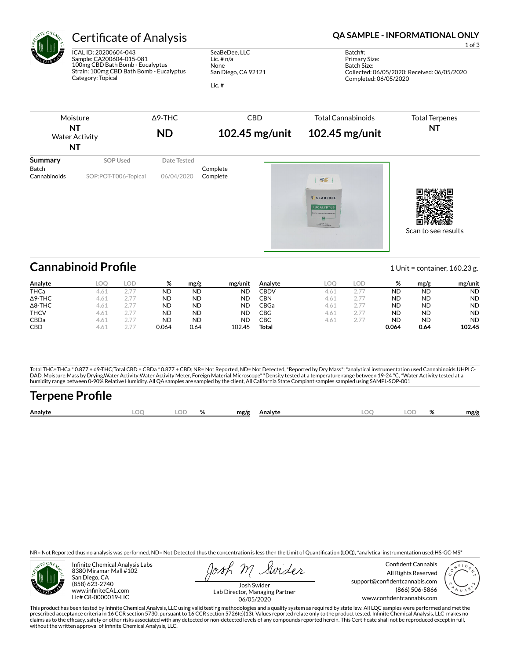

ICAL ID: 20200604-043 Sample: CA200604-015-081 100mg CBD Bath Bomb - Eucalyptus Strain: 100mg CBD Bath Bomb - Eucalyptus Category: Topical

SeaBeDee, LLC Lic. # n/a None San Diego, CA 92121

Lic. #

### Certificate of Analysis **Certificate of Analysis QA SAMPLE - INFORMATIONAL ONLY**

1 of 3

Batch#: Primary Size: Batch Size: Collected: 06/05/2020; Received: 06/05/2020 Completed: 06/05/2020



## **Cannabinoid Profile** 1 Unit = container, 160.23 g.

| Analyte        | LOO  | LOD           | %         | mg/g      | mg/unit   | Analyte | LOO              | LOD                                | %         | mg/g      | mg/unit   |
|----------------|------|---------------|-----------|-----------|-----------|---------|------------------|------------------------------------|-----------|-----------|-----------|
| <b>THCa</b>    | 4.01 |               | ND        | <b>ND</b> | <b>ND</b> | CBDV    | 4.6.             |                                    | ND        | <b>ND</b> | <b>ND</b> |
| $\Delta$ 9-THC | 4.61 | $\cap$ $\neg$ | <b>ND</b> | <b>ND</b> | <b>ND</b> | CBN     | 4.61             |                                    | <b>ND</b> | <b>ND</b> | <b>ND</b> |
| $\Delta$ 8-THC | 4.61 | $\cap$ $\neg$ | <b>ND</b> | <b>ND</b> | <b>ND</b> | CBGa    | 4.61             | $\cap$ $\neg$                      | <b>ND</b> | <b>ND</b> | <b>ND</b> |
| <b>THCV</b>    | 4.61 | $\cap$ $\neg$ | <b>ND</b> | <b>ND</b> | <b>ND</b> | CBG     | 4.61             | $\cap$ $\neg$                      | <b>ND</b> | <b>ND</b> | <b>ND</b> |
| CBDa           | 4.61 | $\cap$ $\neg$ | <b>ND</b> | <b>ND</b> | <b>ND</b> | СВС     | 4.6 <sub>1</sub> | $\sim$ $\rightarrow$ $\rightarrow$ | ND        | <b>ND</b> | <b>ND</b> |
| <b>CBD</b>     | 4.61 | ヘ フフ          | 0.064     | 0.64      | 102.45    | Total   |                  |                                    | 0.064     | 0.64      | 102.45    |

Total THC=THCa \* 0.877 + d9-THC;Total CBD = CBDa \* 0.877 + CBD; NR= Not Reported, ND= Not Detected, \*Reported by Dry Mass\*; \*analytical instrumentation used Cannabinoids:UHPLC-DAD, Moisture:Mass by Drying,Water Activity:Water Activity Meter, Foreign Material:Microscope\* \*Density tested at a temperature range between 19-24 °C, \*Water Activity tested at a<br>humidity range between 0-90% Relative Humi

# Terpene Profile

| Analyte | nr | $\sim$ | ົ | mg/g | Analyte | ור. | o/<br>,,,, | mg/g |
|---------|----|--------|---|------|---------|-----|------------|------|
|         |    |        |   |      |         |     |            |      |

NR= Not Reported thus no analysis was performed, ND= Not Detected thus the concentration is less then the Limit of Quantification (LOQ), \*analytical instrumentation used:HS-GC-MS\*



Infinite Chemical Analysis Labs 8380 Miramar Mall #102 San Diego, CA (858) 623-2740 www.infiniteCAL.com Lic# C8-0000019-LIC

Swides

Confident Cannabis All Rights Reserved support@confidentcannabis.com (866) 506-5866 www.confidentcannabis.com



Josh Swider Lab Director, Managing Partner 06/05/2020

This product has been tested by Infinite Chemical Analysis, LLC using valid testing methodologies and a quality system as required by state law. All LQC samples were performed and met the prescribed acceptance criteria in 16 CCR section 5730, pursuant to 16 CCR section 5726(e)(13). Values reported relate only to the product tested. Infinite Chemical Analysis, LLC makes no<br>claims as to the efficacy, safety o without the written approval of Infinite Chemical Analysis, LLC.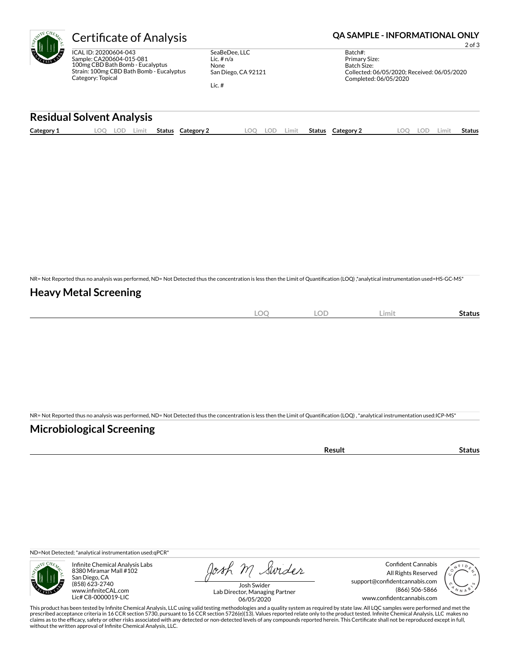ICAL ID: 20200604-043 Sample: CA200604-015-081 100mg CBD Bath Bomb - Eucalyptus Strain: 100mg CBD Bath Bomb - Eucalyptus Category: Topical

SeaBeDee, LLC Lic. # n/a None San Diego, CA 92121

Lic. #

### Certificate of Analysis **Certificate of Analysis QA SAMPLE - INFORMATIONAL ONLY**

2 of 3

Batch#: Primary Size: Batch Size: Collected: 06/05/2020; Received: 06/05/2020 Completed: 06/05/2020

#### **Residual Solvent Analysis**

|--|

NR= Not Reported thus no analysis was performed, ND= Not Detected thus the concentration is less then the Limit of Quantification (LOQ),\*analytical instrumentation used=HS-GC-MS\*

#### **Heavy Metal Screening**

| <b>LOC</b> | <b>LOD</b> | Limit | Status |
|------------|------------|-------|--------|
|            |            |       |        |

NR= Not Reported thus no analysis was performed, ND= Not Detected thus the concentration is less then the Limit of Quantification (LOQ), \*analytical instrumentation used:ICP-MS\*

#### **Microbiological Screening**

ND=Not Detected; \*analytical instrumentation used:qPCR\*



Infinite Chemical Analysis Labs 8380 Miramar Mall #102 San Diego, CA (858) 623-2740 www.infiniteCAL.com Lic# C8-0000019-LIC

Josh M Swider

Confident Cannabis All Rights Reserved support@confidentcannabis.com (866) 506-5866 www.confidentcannabis.com



Josh Swider Lab Director, Managing Partner 06/05/2020

This product has been tested by Infinite Chemical Analysis, LLC using valid testing methodologies and a quality system as required by state law. All LQC samples were performed and met the prescribed acceptance criteria in 16 CCR section 5730, pursuant to 16 CCR section 5726(e)(13). Values reported relate only to the product tested. Infinite Chemical Analysis, LLC makes no<br>claims as to the efficacy, safety o without the written approval of Infinite Chemical Analysis, LLC.